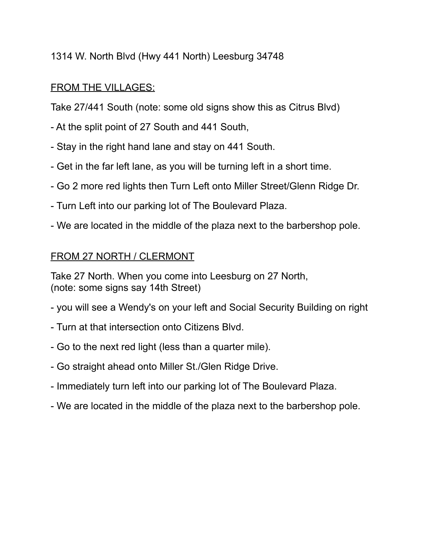# 1314 W. North Blvd (Hwy 441 North) Leesburg 34748

# FROM THE VILLAGES:

Take 27/441 South (note: some old signs show this as Citrus Blvd)

- At the split point of 27 South and 441 South,
- Stay in the right hand lane and stay on 441 South.
- Get in the far left lane, as you will be turning left in a short time.
- Go 2 more red lights then Turn Left onto Miller Street/Glenn Ridge Dr.
- Turn Left into our parking lot of The Boulevard Plaza.
- We are located in the middle of the plaza next to the barbershop pole.

## FROM 27 NORTH / CLERMONT

Take 27 North. When you come into Leesburg on 27 North, (note: some signs say 14th Street)

- you will see a Wendy's on your left and Social Security Building on right
- Turn at that intersection onto Citizens Blvd.
- Go to the next red light (less than a quarter mile).
- Go straight ahead onto Miller St./Glen Ridge Drive.
- Immediately turn left into our parking lot of The Boulevard Plaza.
- We are located in the middle of the plaza next to the barbershop pole.